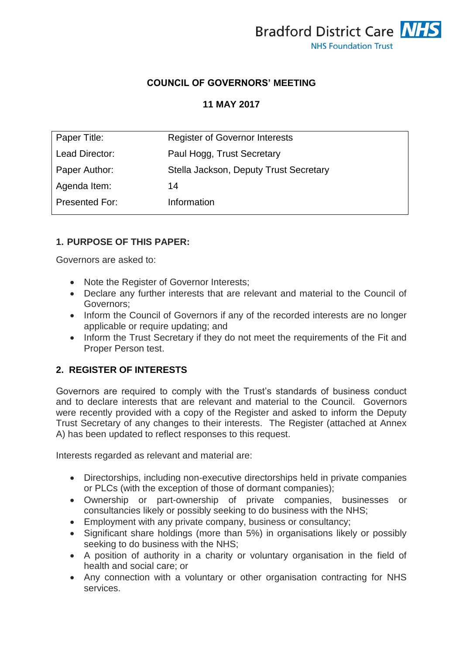

### **COUNCIL OF GOVERNORS' MEETING**

### **11 MAY 2017**

| Paper Title:   | <b>Register of Governor Interests</b>  |
|----------------|----------------------------------------|
| Lead Director: | Paul Hogg, Trust Secretary             |
| Paper Author:  | Stella Jackson, Deputy Trust Secretary |
| Agenda Item:   | 14                                     |
| Presented For: | Information                            |

### **1. PURPOSE OF THIS PAPER:**

Governors are asked to:

- Note the Register of Governor Interests;
- Declare any further interests that are relevant and material to the Council of Governors;
- Inform the Council of Governors if any of the recorded interests are no longer applicable or require updating; and
- Inform the Trust Secretary if they do not meet the requirements of the Fit and Proper Person test.

## **2. REGISTER OF INTERESTS**

Governors are required to comply with the Trust's standards of business conduct and to declare interests that are relevant and material to the Council. Governors were recently provided with a copy of the Register and asked to inform the Deputy Trust Secretary of any changes to their interests. The Register (attached at Annex A) has been updated to reflect responses to this request.

Interests regarded as relevant and material are:

- Directorships, including non-executive directorships held in private companies or PLCs (with the exception of those of dormant companies);
- Ownership or part-ownership of private companies, businesses or consultancies likely or possibly seeking to do business with the NHS;
- **Employment with any private company, business or consultancy;**
- Significant share holdings (more than 5%) in organisations likely or possibly seeking to do business with the NHS;
- A position of authority in a charity or voluntary organisation in the field of health and social care; or
- Any connection with a voluntary or other organisation contracting for NHS services.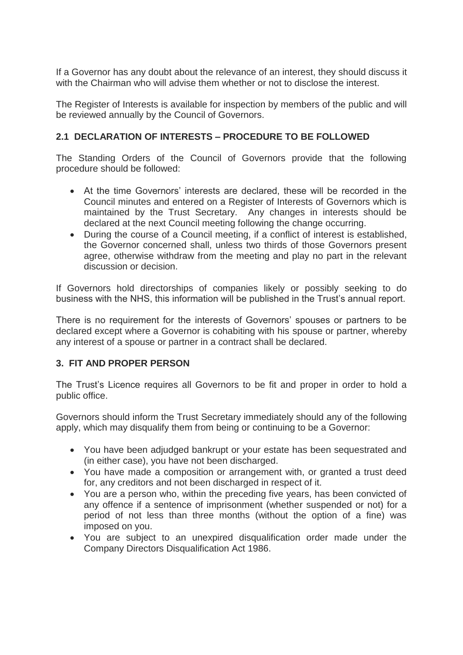If a Governor has any doubt about the relevance of an interest, they should discuss it with the Chairman who will advise them whether or not to disclose the interest.

The Register of Interests is available for inspection by members of the public and will be reviewed annually by the Council of Governors.

### **2.1 DECLARATION OF INTERESTS – PROCEDURE TO BE FOLLOWED**

The Standing Orders of the Council of Governors provide that the following procedure should be followed:

- At the time Governors' interests are declared, these will be recorded in the Council minutes and entered on a Register of Interests of Governors which is maintained by the Trust Secretary. Any changes in interests should be declared at the next Council meeting following the change occurring.
- During the course of a Council meeting, if a conflict of interest is established, the Governor concerned shall, unless two thirds of those Governors present agree, otherwise withdraw from the meeting and play no part in the relevant discussion or decision.

If Governors hold directorships of companies likely or possibly seeking to do business with the NHS, this information will be published in the Trust's annual report.

There is no requirement for the interests of Governors' spouses or partners to be declared except where a Governor is cohabiting with his spouse or partner, whereby any interest of a spouse or partner in a contract shall be declared.

## **3. FIT AND PROPER PERSON**

The Trust's Licence requires all Governors to be fit and proper in order to hold a public office.

Governors should inform the Trust Secretary immediately should any of the following apply, which may disqualify them from being or continuing to be a Governor:

- You have been adjudged bankrupt or your estate has been sequestrated and (in either case), you have not been discharged.
- You have made a composition or arrangement with, or granted a trust deed for, any creditors and not been discharged in respect of it.
- You are a person who, within the preceding five years, has been convicted of any offence if a sentence of imprisonment (whether suspended or not) for a period of not less than three months (without the option of a fine) was imposed on you.
- You are subject to an unexpired disqualification order made under the Company Directors Disqualification Act 1986.